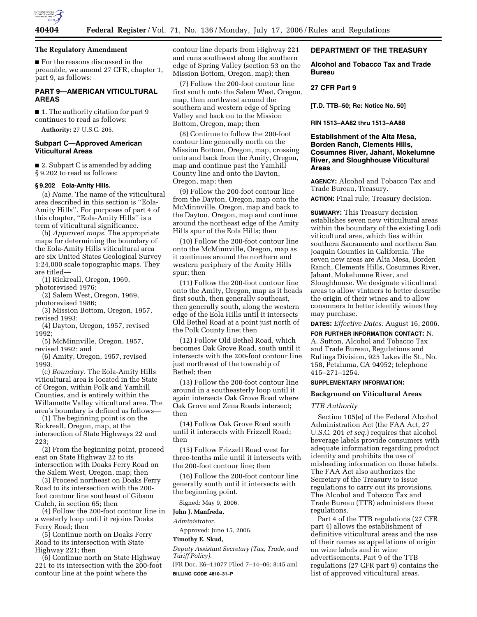

# **The Regulatory Amendment**

■ For the reasons discussed in the preamble, we amend 27 CFR, chapter 1, part 9, as follows:

# **PART 9—AMERICAN VITICULTURAL AREAS**

■ 1. The authority citation for part 9 continues to read as follows:

**Authority:** 27 U.S.C. 205.

## **Subpart C—Approved American Viticultural Areas**

■ 2. Subpart C is amended by adding § 9.202 to read as follows:

## **§ 9.202 Eola-Amity Hills.**

(a) *Name.* The name of the viticultural area described in this section is ''Eola-Amity Hills''. For purposes of part 4 of this chapter, ''Eola-Amity Hills'' is a term of viticultural significance.

(b) *Approved maps.* The appropriate maps for determining the boundary of the Eola-Amity Hills viticultural area are six United States Geological Survey 1:24,000 scale topographic maps. They are titled—

(1) Rickreall, Oregon, 1969,

photorevised 1976;

(2) Salem West, Oregon, 1969, photorevised 1986;

(3) Mission Bottom, Oregon, 1957, revised 1993;

(4) Dayton, Oregon, 1957, revised 1992;

(5) McMinnville, Oregon, 1957, revised 1992; and

(6) Amity, Oregon, 1957, revised 1993.

(c) *Boundary.* The Eola-Amity Hills viticultural area is located in the State of Oregon, within Polk and Yamhill Counties, and is entirely within the Willamette Valley viticultural area. The area's boundary is defined as follows—

(1) The beginning point is on the Rickreall, Oregon, map, at the intersection of State Highways 22 and 223;

(2) From the beginning point, proceed east on State Highway 22 to its intersection with Doaks Ferry Road on the Salem West, Oregon, map; then

(3) Proceed northeast on Doaks Ferry Road to its intersection with the 200 foot contour line southeast of Gibson Gulch, in section 65; then

(4) Follow the 200-foot contour line in a westerly loop until it rejoins Doaks Ferry Road; then

(5) Continue north on Doaks Ferry Road to its intersection with State Highway 221; then

(6) Continue north on State Highway 221 to its intersection with the 200-foot contour line at the point where the

contour line departs from Highway 221 and runs southwest along the southern edge of Spring Valley (section 53 on the Mission Bottom, Oregon, map); then

(7) Follow the 200-foot contour line first south onto the Salem West, Oregon, map, then northwest around the southern and western edge of Spring Valley and back on to the Mission Bottom, Oregon, map; then

(8) Continue to follow the 200-foot contour line generally north on the Mission Bottom, Oregon, map, crossing onto and back from the Amity, Oregon, map and continue past the Yamhill County line and onto the Dayton, Oregon, map; then

(9) Follow the 200-foot contour line from the Dayton, Oregon, map onto the McMinnville, Oregon, map and back to the Dayton, Oregon, map and continue around the northeast edge of the Amity Hills spur of the Eola Hills; then

(10) Follow the 200-foot contour line onto the McMinnville, Oregon, map as it continues around the northern and western periphery of the Amity Hills spur; then

(11) Follow the 200-foot contour line onto the Amity, Oregon, map as it heads first south, then generally southeast, then generally south, along the western edge of the Eola Hills until it intersects Old Bethel Road at a point just north of the Polk County line; then

(12) Follow Old Bethel Road, which becomes Oak Grove Road, south until it intersects with the 200-foot contour line just northwest of the township of Bethel; then

(13) Follow the 200-foot contour line around in a southeasterly loop until it again intersects Oak Grove Road where Oak Grove and Zena Roads intersect; then

(14) Follow Oak Grove Road south until it intersects with Frizzell Road; then

(15) Follow Frizzell Road west for three-tenths mile until it intersects with the 200-foot contour line; then

(16) Follow the 200-foot contour line generally south until it intersects with the beginning point.

Signed: May 9, 2006.

**John J. Manfreda,** 

*Administrator.* 

Approved: June 15, 2006.

### **Timothy E. Skud,**

*Deputy Assistant Secretary (Tax, Trade, and Tariff Policy).* 

[FR Doc. E6–11077 Filed 7–14–06; 8:45 am] **BILLING CODE 4810–31–P** 

# **DEPARTMENT OF THE TREASURY**

**Alcohol and Tobacco Tax and Trade Bureau** 

## **27 CFR Part 9**

**[T.D. TTB–50; Re: Notice No. 50]** 

**RIN 1513–AA82 thru 1513–AA88** 

**Establishment of the Alta Mesa, Borden Ranch, Clements Hills, Cosumnes River, Jahant, Mokelumne River, and Sloughhouse Viticultural Areas** 

**AGENCY:** Alcohol and Tobacco Tax and Trade Bureau, Treasury.

**ACTION:** Final rule; Treasury decision.

**SUMMARY:** This Treasury decision establishes seven new viticultural areas within the boundary of the existing Lodi viticultural area, which lies within southern Sacramento and northern San Joaquin Counties in California. The seven new areas are Alta Mesa, Borden Ranch, Clements Hills, Cosumnes River, Jahant, Mokelumne River, and Sloughhouse. We designate viticultural areas to allow vintners to better describe the origin of their wines and to allow consumers to better identify wines they may purchase.

**DATES:** *Effective Dates:* August 16, 2006.

**FOR FURTHER INFORMATION CONTACT:** N. A. Sutton, Alcohol and Tobacco Tax and Trade Bureau, Regulations and Rulings Division, 925 Lakeville St., No. 158, Petaluma, CA 94952; telephone 415–271–1254.

# **SUPPLEMENTARY INFORMATION:**

# **Background on Viticultural Areas**

## *TTB Authority*

Section 105(e) of the Federal Alcohol Administration Act (the FAA Act, 27 U.S.C. 201 *et seq.*) requires that alcohol beverage labels provide consumers with adequate information regarding product identity and prohibits the use of misleading information on those labels. The FAA Act also authorizes the Secretary of the Treasury to issue regulations to carry out its provisions. The Alcohol and Tobacco Tax and Trade Bureau (TTB) administers these regulations.

Part 4 of the TTB regulations (27 CFR part 4) allows the establishment of definitive viticultural areas and the use of their names as appellations of origin on wine labels and in wine advertisements. Part 9 of the TTB regulations (27 CFR part 9) contains the list of approved viticultural areas.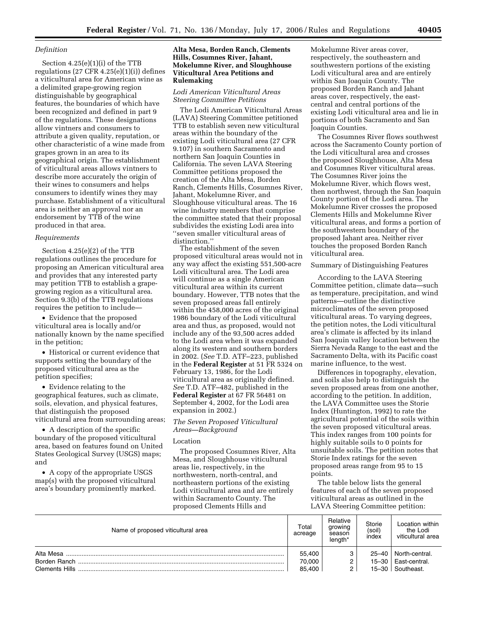## *Definition*

Section 4.25(e)(1)(i) of the TTB regulations  $(27 \text{ CFR } 4.25(e)(1)(i))$  defines a viticultural area for American wine as a delimited grape-growing region distinguishable by geographical features, the boundaries of which have been recognized and defined in part 9 of the regulations. These designations allow vintners and consumers to attribute a given quality, reputation, or other characteristic of a wine made from grapes grown in an area to its geographical origin. The establishment of viticultural areas allows vintners to describe more accurately the origin of their wines to consumers and helps consumers to identify wines they may purchase. Establishment of a viticultural area is neither an approval nor an endorsement by TTB of the wine produced in that area.

#### *Requirements*

Section 4.25(e)(2) of the TTB regulations outlines the procedure for proposing an American viticultural area and provides that any interested party may petition TTB to establish a grapegrowing region as a viticultural area. Section 9.3(b) of the TTB regulations requires the petition to include—

• Evidence that the proposed viticultural area is locally and/or nationally known by the name specified in the petition;

• Historical or current evidence that supports setting the boundary of the proposed viticultural area as the petition specifies;

• Evidence relating to the geographical features, such as climate, soils, elevation, and physical features, that distinguish the proposed viticultural area from surrounding areas;

• A description of the specific boundary of the proposed viticultural area, based on features found on United States Geological Survey (USGS) maps; and

• A copy of the appropriate USGS map(s) with the proposed viticultural area's boundary prominently marked.

# **Alta Mesa, Borden Ranch, Clements Hills, Cosumnes River, Jahant, Mokelumne River, and Sloughhouse Viticultural Area Petitions and Rulemaking**

## *Lodi American Viticultural Areas Steering Committee Petitions*

The Lodi American Viticultural Areas (LAVA) Steering Committee petitioned TTB to establish seven new viticultural areas within the boundary of the existing Lodi viticultural area (27 CFR 9.107) in southern Sacramento and northern San Joaquin Counties in California. The seven LAVA Steering Committee petitions proposed the creation of the Alta Mesa, Borden Ranch, Clements Hills, Cosumnes River, Jahant, Mokelumne River, and Sloughhouse viticultural areas. The 16 wine industry members that comprise the committee stated that their proposal subdivides the existing Lodi area into ''seven smaller viticultural areas of distinction.''

The establishment of the seven proposed viticultural areas would not in any way affect the existing 551,500-acre Lodi viticultural area. The Lodi area will continue as a single American viticultural area within its current boundary. However, TTB notes that the seven proposed areas fall entirely within the 458,000 acres of the original 1986 boundary of the Lodi viticultural area and thus, as proposed, would not include any of the 93,500 acres added to the Lodi area when it was expanded along its western and southern borders in 2002. (*See* T.D. ATF–223, published in the **Federal Register** at 51 FR 5324 on February 13, 1986, for the Lodi viticultural area as originally defined. *See* T.D. ATF–482, published in the **Federal Register** at 67 FR 56481 on September 4, 2002, for the Lodi area expansion in 2002.)

## *The Seven Proposed Viticultural Areas—Background*

### Location

The proposed Cosumnes River, Alta Mesa, and Sloughhouse viticultural areas lie, respectively, in the northwestern, north-central, and northeastern portions of the existing Lodi viticultural area and are entirely within Sacramento County. The proposed Clements Hills and

Mokelumne River areas cover, respectively, the southeastern and southwestern portions of the existing Lodi viticultural area and are entirely within San Joaquin County. The proposed Borden Ranch and Jahant areas cover, respectively, the eastcentral and central portions of the existing Lodi viticultural area and lie in portions of both Sacramento and San Joaquin Counties.

The Cosumnes River flows southwest across the Sacramento County portion of the Lodi viticultural area and crosses the proposed Sloughhouse, Alta Mesa and Cosumnes River viticultural areas. The Cosumnes River joins the Mokelumne River, which flows west, then northwest, through the San Joaquin County portion of the Lodi area. The Mokelumne River crosses the proposed Clements Hills and Mokelumne River viticultural areas, and forms a portion of the southwestern boundary of the proposed Jahant area. Neither river touches the proposed Borden Ranch viticultural area.

## Summary of Distinguishing Features

According to the LAVA Steering Committee petition, climate data—such as temperature, precipitation, and wind patterns—outline the distinctive microclimates of the seven proposed viticultural areas. To varying degrees, the petition notes, the Lodi viticultural area's climate is affected by its inland San Joaquin valley location between the Sierra Nevada Range to the east and the Sacramento Delta, with its Pacific coast marine influence, to the west.

Differences in topography, elevation, and soils also help to distinguish the seven proposed areas from one another, according to the petition. In addition, the LAVA Committee uses the Storie Index (Huntington, 1992) to rate the agricultural potential of the soils within the seven proposed viticultural areas. This index ranges from 100 points for highly suitable soils to 0 points for unsuitable soils. The petition notes that Storie Index ratings for the seven proposed areas range from 95 to 15 points.

The table below lists the general features of each of the seven proposed viticultural areas as outlined in the LAVA Steering Committee petition:

| Name of proposed viticultural area | Total<br>acreage           | Relative<br>growing<br>season<br>length* | Storie<br>(soil)<br>index | Location within<br>the Lodi<br>viticultural area            |
|------------------------------------|----------------------------|------------------------------------------|---------------------------|-------------------------------------------------------------|
|                                    | 55,400<br>70,000<br>85.400 | 2                                        | $25 - 40$                 | North-central.<br>15-30   East-central.<br>15-30 Southeast. |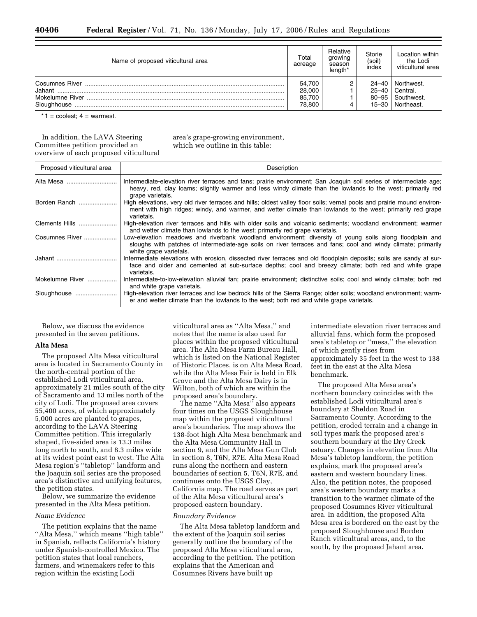| Name of proposed viticultural area | Total<br>acreage | Relative<br>growing<br>season<br>length <sup>*</sup> | Storie<br>(soil)<br>index | Location within<br>the Lodi<br>viticultural area |
|------------------------------------|------------------|------------------------------------------------------|---------------------------|--------------------------------------------------|
| Jahant                             | 54,700<br>28,000 |                                                      | $24 - 40$<br>$25 - 40$    | Northwest.<br>Central.                           |
| Sloughhouse                        |                  |                                                      | $80 - 95$<br>15–30        | Southwest.<br>Northeast.                         |

 $*1$  = coolest;  $4$  = warmest.

In addition, the LAVA Steering Committee petition provided an overview of each proposed viticultural area's grape-growing environment, which we outline in this table:

| Proposed viticultural area | Description                                                                                                                                                                                                                                          |
|----------------------------|------------------------------------------------------------------------------------------------------------------------------------------------------------------------------------------------------------------------------------------------------|
| Alta Mesa                  | Intermediate-elevation river terraces and fans; prairie environment; San Joaquin soil series of intermediate age;<br>heavy, red, clay loams; slightly warmer and less windy climate than the lowlands to the west; primarily red<br>grape varietals. |
| Borden Ranch               | High elevations, very old river terraces and hills; oldest valley floor soils; vernal pools and prairie mound environ-<br>ment with high ridges; windy, and warmer, and wetter climate than lowlands to the west; primarily red grape<br>varietals.  |
| Clements Hills             | High-elevation river terraces and hills with older soils and volcanic sediments; woodland environment; warmer<br>and wetter climate than lowlands to the west; primarily red grape varietals.                                                        |
| Cosumnes River             | Low-elevation meadows and riverbank woodland environment; diversity of young soils along floodplain and<br>sloughs with patches of intermediate-age soils on river terraces and fans; cool and windy climate; primarily<br>white grape varietals.    |
|                            | Intermediate elevations with erosion, dissected river terraces and old floodplain deposits; soils are sandy at sur-<br>face and older and cemented at sub-surface depths; cool and breezy climate; both red and white grape<br>varietals.            |
| Mokelumne River            | Intermediate-to-low-elevation alluvial fan; prairie environment; distinctive soils; cool and windy climate; both red<br>and white grape varietals.                                                                                                   |
| Sloughhouse                | High-elevation river terraces and low bedrock hills of the Sierra Range; older soils; woodland environment; warm-<br>er and wetter climate than the lowlands to the west; both red and white grape varietals.                                        |

Below, we discuss the evidence presented in the seven petitions.

### **Alta Mesa**

The proposed Alta Mesa viticultural area is located in Sacramento County in the north-central portion of the established Lodi viticultural area, approximately 21 miles south of the city of Sacramento and 13 miles north of the city of Lodi. The proposed area covers 55,400 acres, of which approximately 5,000 acres are planted to grapes, according to the LAVA Steering Committee petition. This irregularly shaped, five-sided area is 13.3 miles long north to south, and 8.3 miles wide at its widest point east to west. The Alta Mesa region's ''tabletop'' landform and the Joaquin soil series are the proposed area's distinctive and unifying features, the petition states.

Below, we summarize the evidence presented in the Alta Mesa petition.

# *Name Evidence*

The petition explains that the name ''Alta Mesa,'' which means ''high table'' in Spanish, reflects California's history under Spanish-controlled Mexico. The petition states that local ranchers, farmers, and winemakers refer to this region within the existing Lodi

viticultural area as ''Alta Mesa,'' and notes that the name is also used for places within the proposed viticultural area. The Alta Mesa Farm Bureau Hall, which is listed on the National Register of Historic Places, is on Alta Mesa Road, while the Alta Mesa Fair is held in Elk Grove and the Alta Mesa Dairy is in Wilton, both of which are within the proposed area's boundary.

The name ''Alta Mesa'' also appears four times on the USGS Sloughhouse map within the proposed viticultural area's boundaries. The map shows the 138-foot high Alta Mesa benchmark and the Alta Mesa Community Hall in section 9, and the Alta Mesa Gun Club in section 8, T6N, R7E. Alta Mesa Road runs along the northern and eastern boundaries of section 5, T6N, R7E, and continues onto the USGS Clay, California map. The road serves as part of the Alta Mesa viticultural area's proposed eastern boundary.

## *Boundary Evidence*

The Alta Mesa tabletop landform and the extent of the Joaquin soil series generally outline the boundary of the proposed Alta Mesa viticultural area, according to the petition. The petition explains that the American and Cosumnes Rivers have built up

intermediate elevation river terraces and alluvial fans, which form the proposed area's tabletop or ''mesa,'' the elevation of which gently rises from approximately 35 feet in the west to 138 feet in the east at the Alta Mesa benchmark.

The proposed Alta Mesa area's northern boundary coincides with the established Lodi viticultural area's boundary at Sheldon Road in Sacramento County. According to the petition, eroded terrain and a change in soil types mark the proposed area's southern boundary at the Dry Creek estuary. Changes in elevation from Alta Mesa's tabletop landform, the petition explains, mark the proposed area's eastern and western boundary lines. Also, the petition notes, the proposed area's western boundary marks a transition to the warmer climate of the proposed Cosumnes River viticultural area. In addition, the proposed Alta Mesa area is bordered on the east by the proposed Sloughhouse and Borden Ranch viticultural areas, and, to the south, by the proposed Jahant area.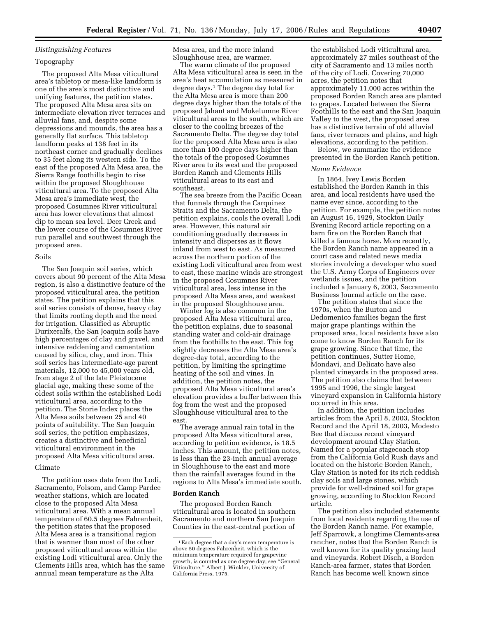# *Distinguishing Features*

# Topography

The proposed Alta Mesa viticultural area's tabletop or mesa-like landform is one of the area's most distinctive and unifying features, the petition states. The proposed Alta Mesa area sits on intermediate elevation river terraces and alluvial fans, and, despite some depressions and mounds, the area has a generally flat surface. This tabletop landform peaks at 138 feet in its northeast corner and gradually declines to 35 feet along its western side. To the east of the proposed Alta Mesa area, the Sierra Range foothills begin to rise within the proposed Sloughhouse viticultural area. To the proposed Alta Mesa area's immediate west, the proposed Cosumnes River viticultural area has lower elevations that almost dip to mean sea level. Deer Creek and the lower course of the Cosumnes River run parallel and southwest through the proposed area.

# Soils

The San Joaquin soil series, which covers about 90 percent of the Alta Mesa region, is also a distinctive feature of the proposed viticultural area, the petition states. The petition explains that this soil series consists of dense, heavy clay that limits rooting depth and the need for irrigation. Classified as Abruptic Durixeralfs, the San Joaquin soils have high percentages of clay and gravel, and intensive reddening and cementation caused by silica, clay, and iron. This soil series has intermediate-age parent materials, 12,000 to 45,000 years old, from stage 2 of the late Pleistocene glacial age, making these some of the oldest soils within the established Lodi viticultural area, according to the petition. The Storie Index places the Alta Mesa soils between 25 and 40 points of suitability. The San Joaquin soil series, the petition emphasizes, creates a distinctive and beneficial viticultural environment in the proposed Alta Mesa viticultural area.

## Climate

The petition uses data from the Lodi, Sacramento, Folsom, and Camp Pardee weather stations, which are located close to the proposed Alta Mesa viticultural area. With a mean annual temperature of 60.5 degrees Fahrenheit, the petition states that the proposed Alta Mesa area is a transitional region that is warmer than most of the other proposed viticultural areas within the existing Lodi viticultural area. Only the Clements Hills area, which has the same annual mean temperature as the Alta

Mesa area, and the more inland Sloughhouse area, are warmer.

The warm climate of the proposed Alta Mesa viticultural area is seen in the area's heat accumulation as measured in degree days.1 The degree day total for the Alta Mesa area is more than 200 degree days higher than the totals of the proposed Jahant and Mokelumne River viticultural areas to the south, which are closer to the cooling breezes of the Sacramento Delta. The degree day total for the proposed Alta Mesa area is also more than 100 degree days higher than the totals of the proposed Cosumnes River area to its west and the proposed Borden Ranch and Clements Hills viticultural areas to its east and southeast.

The sea breeze from the Pacific Ocean that funnels through the Carquinez Straits and the Sacramento Delta, the petition explains, cools the overall Lodi area. However, this natural air conditioning gradually decreases in intensity and disperses as it flows inland from west to east. As measured across the northern portion of the existing Lodi viticultural area from west to east, these marine winds are strongest in the proposed Cosumnes River viticultural area, less intense in the proposed Alta Mesa area, and weakest in the proposed Sloughhouse area.

Winter fog is also common in the proposed Alta Mesa viticultural area, the petition explains, due to seasonal standing water and cold-air drainage from the foothills to the east. This fog slightly decreases the Alta Mesa area's degree-day total, according to the petition, by limiting the springtime heating of the soil and vines. In addition, the petition notes, the proposed Alta Mesa viticultural area's elevation provides a buffer between this fog from the west and the proposed Sloughhouse viticultural area to the east.

The average annual rain total in the proposed Alta Mesa viticultural area, according to petition evidence, is 18.5 inches. This amount, the petition notes, is less than the 23-inch annual average in Sloughhouse to the east and more than the rainfall averages found in the regions to Alta Mesa's immediate south.

#### **Borden Ranch**

The proposed Borden Ranch viticultural area is located in southern Sacramento and northern San Joaquin Counties in the east-central portion of

the established Lodi viticultural area, approximately 27 miles southeast of the city of Sacramento and 13 miles north of the city of Lodi. Covering 70,000 acres, the petition notes that approximately 11,000 acres within the proposed Borden Ranch area are planted to grapes. Located between the Sierra Foothills to the east and the San Joaquin Valley to the west, the proposed area has a distinctive terrain of old alluvial fans, river terraces and plains, and high elevations, according to the petition.

Below, we summarize the evidence presented in the Borden Ranch petition.

# *Name Evidence*

In 1864, Ivey Lewis Borden established the Borden Ranch in this area, and local residents have used the name ever since, according to the petition. For example, the petition notes an August 16, 1929, Stockton Daily Evening Record article reporting on a barn fire on the Borden Ranch that killed a famous horse. More recently, the Borden Ranch name appeared in a court case and related news media stories involving a developer who sued the U.S. Army Corps of Engineers over wetlands issues, and the petition included a January 6, 2003, Sacramento Business Journal article on the case.

The petition states that since the 1970s, when the Burton and Dedomenico families began the first major grape plantings within the proposed area, local residents have also come to know Borden Ranch for its grape growing. Since that time, the petition continues, Sutter Home, Mondavi, and Delicato have also planted vineyards in the proposed area. The petition also claims that between 1995 and 1996, the single largest vineyard expansion in California history occurred in this area.

In addition, the petition includes articles from the April 8, 2003, Stockton Record and the April 18, 2003, Modesto Bee that discuss recent vineyard development around Clay Station. Named for a popular stagecoach stop from the California Gold Rush days and located on the historic Borden Ranch, Clay Station is noted for its rich reddish clay soils and large stones, which provide for well-drained soil for grape growing, according to Stockton Record article.

The petition also included statements from local residents regarding the use of the Borden Ranch name. For example, Jeff Sparrowk, a longtime Clements-area rancher, notes that the Borden Ranch is well known for its quality grazing land and vineyards. Robert Disch, a Borden Ranch-area farmer, states that Borden Ranch has become well known since

<sup>1</sup>Each degree that a day's mean temperature is above 50 degrees Fahrenheit, which is the minimum temperature required for grapevine growth, is counted as one degree day; see ''General Viticulture,'' Albert J. Winkler, University of California Press, 1975.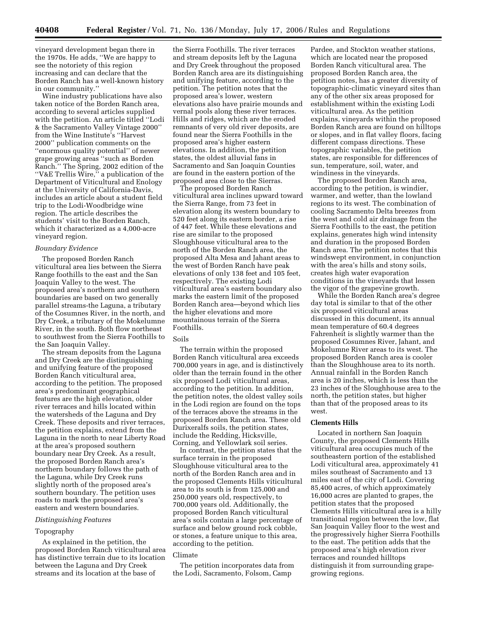vineyard development began there in the 1970s. He adds, ''We are happy to see the notoriety of this region increasing and can declare that the Borden Ranch has a well-known history in our community.''

Wine industry publications have also taken notice of the Borden Ranch area, according to several articles supplied with the petition. An article titled ''Lodi & the Sacramento Valley Vintage 2000'' from the Wine Institute's ''Harvest 2000'' publication comments on the ''enormous quality potential'' of newer grape growing areas ''such as Borden Ranch.'' The Spring, 2002 edition of the ''V&E Trellis Wire,'' a publication of the Department of Viticultural and Enology at the University of California-Davis, includes an article about a student field trip to the Lodi-Woodbridge wine region. The article describes the students' visit to the Borden Ranch, which it characterized as a 4,000-acre vineyard region.

## *Boundary Evidence*

The proposed Borden Ranch viticultural area lies between the Sierra Range foothills to the east and the San Joaquin Valley to the west. The proposed area's northern and southern boundaries are based on two generally parallel streams-the Laguna, a tributary of the Cosumnes River, in the north, and Dry Creek, a tributary of the Mokelumne River, in the south. Both flow northeast to southwest from the Sierra Foothills to the San Joaquin Valley.

The stream deposits from the Laguna and Dry Creek are the distinguishing and unifying feature of the proposed Borden Ranch viticultural area, according to the petition. The proposed area's predominant geographical features are the high elevation, older river terraces and hills located within the watersheds of the Laguna and Dry Creek. These deposits and river terraces, the petition explains, extend from the Laguna in the north to near Liberty Road at the area's proposed southern boundary near Dry Creek. As a result, the proposed Borden Ranch area's northern boundary follows the path of the Laguna, while Dry Creek runs slightly north of the proposed area's southern boundary. The petition uses roads to mark the proposed area's eastern and western boundaries.

### *Distinguishing Features*

## Topography

As explained in the petition, the proposed Borden Ranch viticultural area has distinctive terrain due to its location between the Laguna and Dry Creek streams and its location at the base of

the Sierra Foothills. The river terraces and stream deposits left by the Laguna and Dry Creek throughout the proposed Borden Ranch area are its distinguishing and unifying feature, according to the petition. The petition notes that the proposed area's lower, western elevations also have prairie mounds and vernal pools along these river terraces. Hills and ridges, which are the eroded remnants of very old river deposits, are found near the Sierra Foothills in the proposed area's higher eastern elevations. In addition, the petition states, the oldest alluvial fans in Sacramento and San Joaquin Counties are found in the eastern portion of the proposed area close to the Sierras.

The proposed Borden Ranch viticultural area inclines upward toward the Sierra Range, from 73 feet in elevation along its western boundary to 520 feet along its eastern border, a rise of 447 feet. While these elevations and rise are similar to the proposed Sloughhouse viticultural area to the north of the Borden Ranch area, the proposed Alta Mesa and Jahant areas to the west of Borden Ranch have peak elevations of only 138 feet and 105 feet, respectively. The existing Lodi viticultural area's eastern boundary also marks the eastern limit of the proposed Borden Ranch area—beyond which lies the higher elevations and more mountainous terrain of the Sierra Foothills.

# Soils

The terrain within the proposed Borden Ranch viticultural area exceeds 700,000 years in age, and is distinctively older than the terrain found in the other six proposed Lodi viticultural areas, according to the petition. In addition, the petition notes, the oldest valley soils in the Lodi region are found on the tops of the terraces above the streams in the proposed Borden Ranch area. These old Durixeralfs soils, the petition states, include the Redding, Hicksville, Corning, and Yellowlark soil series.

In contrast, the petition states that the surface terrain in the proposed Sloughhouse viticultural area to the north of the Borden Ranch area and in the proposed Clements Hills viticultural area to its south is from 125,000 and 250,000 years old, respectively, to 700,000 years old. Additionally, the proposed Borden Ranch viticultural area's soils contain a large percentage of surface and below ground rock cobble, or stones, a feature unique to this area, according to the petition.

#### Climate

The petition incorporates data from the Lodi, Sacramento, Folsom, Camp

Pardee, and Stockton weather stations, which are located near the proposed Borden Ranch viticultural area. The proposed Borden Ranch area, the petition notes, has a greater diversity of topographic-climatic vineyard sites than any of the other six areas proposed for establishment within the existing Lodi viticultural area. As the petition explains, vineyards within the proposed Borden Ranch area are found on hilltops or slopes, and in flat valley floors, facing different compass directions. These topographic variables, the petition states, are responsible for differences of sun, temperature, soil, water, and windiness in the vineyards.

The proposed Borden Ranch area, according to the petition, is windier, warmer, and wetter, than the lowland regions to its west. The combination of cooling Sacramento Delta breezes from the west and cold air drainage from the Sierra Foothills to the east, the petition explains, generates high wind intensity and duration in the proposed Borden Ranch area. The petition notes that this windswept environment, in conjunction with the area's hills and stony soils, creates high water evaporation conditions in the vineyards that lessen the vigor of the grapevine growth.

While the Borden Ranch area's degree day total is similar to that of the other six proposed viticultural areas discussed in this document, its annual mean temperature of 60.4 degrees Fahrenheit is slightly warmer than the proposed Cosumnes River, Jahant, and Mokelumne River areas to its west. The proposed Borden Ranch area is cooler than the Sloughhouse area to its north. Annual rainfall in the Borden Ranch area is 20 inches, which is less than the 23 inches of the Sloughhouse area to the north, the petition states, but higher than that of the proposed areas to its west.

#### **Clements Hills**

Located in northern San Joaquin County, the proposed Clements Hills viticultural area occupies much of the southeastern portion of the established Lodi viticultural area, approximately 41 miles southeast of Sacramento and 13 miles east of the city of Lodi. Covering 85,400 acres, of which approximately 16,000 acres are planted to grapes, the petition states that the proposed Clements Hills viticultural area is a hilly transitional region between the low, flat San Joaquin Valley floor to the west and the progressively higher Sierra Foothills to the east. The petition adds that the proposed area's high elevation river terraces and rounded hilltops distinguish it from surrounding grapegrowing regions.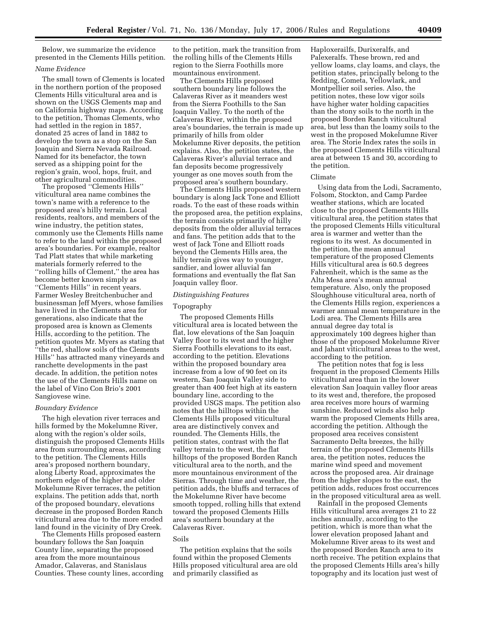Below, we summarize the evidence presented in the Clements Hills petition.

#### *Name Evidence*

The small town of Clements is located in the northern portion of the proposed Clements Hills viticultural area and is shown on the USGS Clements map and on California highway maps. According to the petition, Thomas Clements, who had settled in the region in 1857, donated 25 acres of land in 1882 to develop the town as a stop on the San Joaquin and Sierra Nevada Railroad. Named for its benefactor, the town served as a shipping point for the region's grain, wool, hops, fruit, and other agricultural commodities.

The proposed ''Clements Hills'' viticultural area name combines the town's name with a reference to the proposed area's hilly terrain. Local residents, realtors, and members of the wine industry, the petition states, commonly use the Clements Hills name to refer to the land within the proposed area's boundaries. For example, realtor Tad Platt states that while marketing materials formerly referred to the ''rolling hills of Clement,'' the area has become better known simply as ''Clements Hills'' in recent years. Farmer Wesley Breitchenbucher and businessman Jeff Myers, whose families have lived in the Clements area for generations, also indicate that the proposed area is known as Clements Hills, according to the petition. The petition quotes Mr. Myers as stating that ''the red, shallow soils of the Clements Hills'' has attracted many vineyards and ranchette developments in the past decade. In addition, the petition notes the use of the Clements Hills name on the label of Vino Con Brio's 2001 Sangiovese wine.

## *Boundary Evidence*

The high elevation river terraces and hills formed by the Mokelumne River, along with the region's older soils, distinguish the proposed Clements Hills area from surrounding areas, according to the petition. The Clements Hills area's proposed northern boundary, along Liberty Road, approximates the northern edge of the higher and older Mokelumne River terraces, the petition explains. The petition adds that, north of the proposed boundary, elevations decrease in the proposed Borden Ranch viticultural area due to the more eroded land found in the vicinity of Dry Creek.

The Clements Hills proposed eastern boundary follows the San Joaquin County line, separating the proposed area from the more mountainous Amador, Calaveras, and Stanislaus Counties. These county lines, according

to the petition, mark the transition from the rolling hills of the Clements Hills region to the Sierra Foothills more mountainous environment.

The Clements Hills proposed southern boundary line follows the Calaveras River as it meanders west from the Sierra Foothills to the San Joaquin Valley. To the north of the Calaveras River, within the proposed area's boundaries, the terrain is made up primarily of hills from older Mokelumne River deposits, the petition explains. Also, the petition states, the Calaveras River's alluvial terrace and fan deposits become progressively younger as one moves south from the proposed area's southern boundary.

The Clements Hills proposed western boundary is along Jack Tone and Elliott roads. To the east of these roads within the proposed area, the petition explains, the terrain consists primarily of hilly deposits from the older alluvial terraces and fans. The petition adds that to the west of Jack Tone and Elliott roads beyond the Clements Hills area, the hilly terrain gives way to younger, sandier, and lower alluvial fan formations and eventually the flat San Joaquin valley floor.

### *Distinguishing Features*

## Topography

The proposed Clements Hills viticultural area is located between the flat, low elevations of the San Joaquin Valley floor to its west and the higher Sierra Foothills elevations to its east, according to the petition. Elevations within the proposed boundary area increase from a low of 90 feet on its western, San Joaquin Valley side to greater than 400 feet high at its eastern boundary line, according to the provided USGS maps. The petition also notes that the hilltops within the Clements Hills proposed viticultural area are distinctively convex and rounded. The Clements Hills, the petition states, contrast with the flat valley terrain to the west, the flat hilltops of the proposed Borden Ranch viticultural area to the north, and the more mountainous environment of the Sierras. Through time and weather, the petition adds, the bluffs and terraces of the Mokelumne River have become smooth topped, rolling hills that extend toward the proposed Clements Hills area's southern boundary at the Calaveras River.

# Soils

The petition explains that the soils found within the proposed Clements Hills proposed viticultural area are old and primarily classified as

Haploxerailfs, Durixeralfs, and Palexeralfs. These brown, red and yellow loams, clay loams, and clays, the petition states, principally belong to the Redding, Cometa, Yellowlark, and Montpellier soil series. Also, the petition notes, these low vigor soils have higher water holding capacities than the stony soils to the north in the proposed Borden Ranch viticultural area, but less than the loamy soils to the west in the proposed Mokelumne River area. The Storie Index rates the soils in the proposed Clements Hills viticultural area at between 15 and 30, according to the petition.

#### Climate

Using data from the Lodi, Sacramento, Folsom, Stockton, and Camp Pardee weather stations, which are located close to the proposed Clements Hills viticultural area, the petition states that the proposed Clements Hills viticultural area is warmer and wetter than the regions to its west. As documented in the petition, the mean annual temperature of the proposed Clements Hills viticultural area is 60.5 degrees Fahrenheit, which is the same as the Alta Mesa area's mean annual temperature. Also, only the proposed Sloughhouse viticultural area, north of the Clements Hills region, experiences a warmer annual mean temperature in the Lodi area. The Clements Hills area annual degree day total is approximately 100 degrees higher than those of the proposed Mokelumne River and Jahant viticultural areas to the west, according to the petition.

The petition notes that fog is less frequent in the proposed Clements Hills viticultural area than in the lower elevation San Joaquin valley floor areas to its west and, therefore, the proposed area receives more hours of warming sunshine. Reduced winds also help warm the proposed Clements Hills area, according the petition. Although the proposed area receives consistent Sacramento Delta breezes, the hilly terrain of the proposed Clements Hills area, the petition notes, reduces the marine wind speed and movement across the proposed area. Air drainage from the higher slopes to the east, the petition adds, reduces frost occurrences in the proposed viticultural area as well.

Rainfall in the proposed Clements Hills viticultural area averages 21 to 22 inches annually, according to the petition, which is more than what the lower elevation proposed Jahant and Mokelumne River areas to its west and the proposed Borden Ranch area to its north receive. The petition explains that the proposed Clements Hills area's hilly topography and its location just west of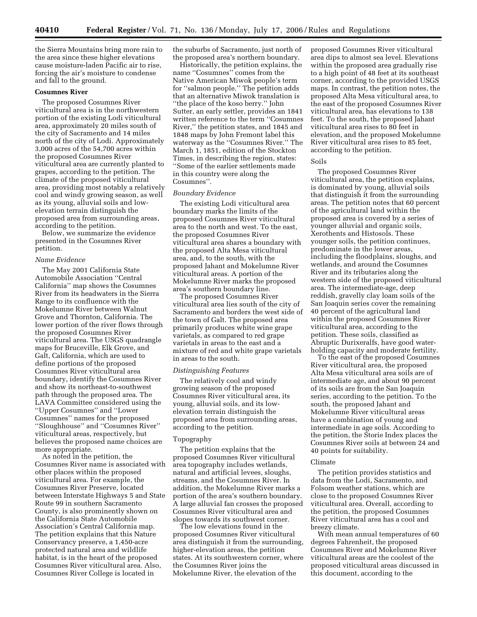the Sierra Mountains bring more rain to the area since these higher elevations cause moisture-laden Pacific air to rise, forcing the air's moisture to condense and fall to the ground.

# **Cosumnes River**

The proposed Cosumnes River viticultural area is in the northwestern portion of the existing Lodi viticultural area, approximately 20 miles south of the city of Sacramento and 14 miles north of the city of Lodi. Approximately 3,000 acres of the 54,700 acres within the proposed Cosumnes River viticultural area are currently planted to grapes, according to the petition. The climate of the proposed viticultural area, providing most notably a relatively cool and windy growing season, as well as its young, alluvial soils and lowelevation terrain distinguish the proposed area from surrounding areas, according to the petition.

Below, we summarize the evidence presented in the Cosumnes River petition.

#### *Name Evidence*

The May 2001 California State Automobile Association ''Central California'' map shows the Cosumnes River from its headwaters in the Sierra Range to its confluence with the Mokelumne River between Walnut Grove and Thornton, California. The lower portion of the river flows through the proposed Cosumnes River viticultural area. The USGS quadrangle maps for Bruceville, Elk Grove, and Galt, California, which are used to define portions of the proposed Cosumnes River viticultural area boundary, identify the Cosumnes River and show its northeast-to-southwest path through the proposed area. The LAVA Committee considered using the ''Upper Cosumnes'' and ''Lower Cosumnes'' names for the proposed ''Sloughhouse'' and ''Cosumnes River'' viticultural areas, respectively, but believes the proposed name choices are more appropriate.

As noted in the petition, the Cosumnes River name is associated with other places within the proposed viticultural area. For example, the Cosumnes River Preserve, located between Interstate Highways 5 and State Route 99 in southern Sacramento County, is also prominently shown on the California State Automobile Association's Central California map. The petition explains that this Nature Conservancy preserve, a 1,450-acre protected natural area and wildlife habitat, is in the heart of the proposed Cosumnes River viticultural area. Also, Cosumnes River College is located in

the suburbs of Sacramento, just north of the proposed area's northern boundary.

Historically, the petition explains, the name ''Cosumnes'' comes from the Native American Miwok people's term for ''salmon people.'' The petition adds that an alternative Miwok translation is ''the place of the koso berry.'' John Sutter, an early settler, provides an 1841 written reference to the term ''Cosumnes River,'' the petition states, and 1845 and 1848 maps by John Fremont label this waterway as the ''Cosumnes River.'' The March 1, 1851, edition of the Stockton Times, in describing the region, states: ''Some of the earlier settlements made in this country were along the Cosumnes''.

#### *Boundary Evidence*

The existing Lodi viticultural area boundary marks the limits of the proposed Cosumnes River viticultural area to the north and west. To the east, the proposed Cosumnes River viticultural area shares a boundary with the proposed Alta Mesa viticultural area, and, to the south, with the proposed Jahant and Mokelumne River viticultural areas. A portion of the Mokelumne River marks the proposed area's southern boundary line.

The proposed Cosumnes River viticultural area lies south of the city of Sacramento and borders the west side of the town of Galt. The proposed area primarily produces white wine grape varietals, as compared to red grape varietals in areas to the east and a mixture of red and white grape varietals in areas to the south.

#### *Distinguishing Features*

The relatively cool and windy growing season of the proposed Cosumnes River viticultural area, its young, alluvial soils, and its lowelevation terrain distinguish the proposed area from surrounding areas, according to the petition.

#### Topography

The petition explains that the proposed Cosumnes River viticultural area topography includes wetlands, natural and artificial levees, sloughs, streams, and the Cosumnes River. In addition, the Mokelumne River marks a portion of the area's southern boundary. A large alluvial fan crosses the proposed Cosumnes River viticultural area and slopes towards its southwest corner.

The low elevations found in the proposed Cosumnes River viticultural area distinguish it from the surrounding, higher-elevation areas, the petition states. At its southwestern corner, where the Cosumnes River joins the Mokelumne River, the elevation of the

proposed Cosumnes River viticultural area dips to almost sea level. Elevations within the proposed area gradually rise to a high point of 48 feet at its southeast corner, according to the provided USGS maps. In contrast, the petition notes, the proposed Alta Mesa viticultural area, to the east of the proposed Cosumnes River viticultural area, has elevations to 138 feet. To the south, the proposed Jahant viticultural area rises to 80 feet in elevation, and the proposed Mokelumne River viticultural area rises to 85 feet, according to the petition.

## Soils

The proposed Cosumnes River viticultural area, the petition explains, is dominated by young, alluvial soils that distinguish it from the surrounding areas. The petition notes that 60 percent of the agricultural land within the proposed area is covered by a series of younger alluvial and organic soils, Xerothents and Histosols. These younger soils, the petition continues, predominate in the lower areas, including the floodplains, sloughs, and wetlands, and around the Cosumnes River and its tributaries along the western side of the proposed viticultural area. The intermediate-age, deep reddish, gravelly clay loam soils of the San Joaquin series cover the remaining 40 percent of the agricultural land within the proposed Cosumnes River viticultural area, according to the petition. These soils, classified as Abruptic Durixeralfs, have good waterholding capacity and moderate fertility.

To the east of the proposed Cosumnes River viticultural area, the proposed Alta Mesa viticultural area soils are of intermediate age, and about 90 percent of its soils are from the San Joaquin series, according to the petition. To the south, the proposed Jahant and Mokelumne River viticultural areas have a combination of young and intermediate in age soils. According to the petition, the Storie Index places the Cosumnes River soils at between 24 and 40 points for suitability.

### Climate

The petition provides statistics and data from the Lodi, Sacramento, and Folsom weather stations, which are close to the proposed Cosumnes River viticultural area. Overall, according to the petition, the proposed Cosumnes River viticultural area has a cool and breezy climate.

With mean annual temperatures of 60 degrees Fahrenheit, the proposed Cosumnes River and Mokelumne River viticultural areas are the coolest of the proposed viticultural areas discussed in this document, according to the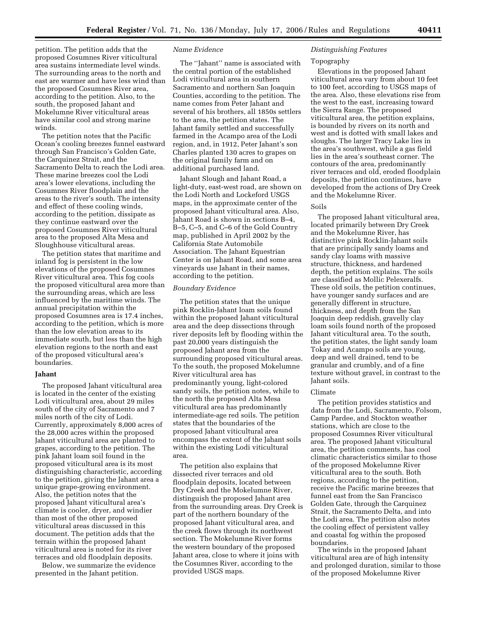petition. The petition adds that the proposed Cosumnes River viticultural area sustains intermediate level winds. The surrounding areas to the north and east are warmer and have less wind than the proposed Cosumnes River area, according to the petition. Also, to the south, the proposed Jahant and Mokelumne River viticultural areas have similar cool and strong marine winds.

The petition notes that the Pacific Ocean's cooling breezes funnel eastward through San Francisco's Golden Gate, the Carquinez Strait, and the Sacramento Delta to reach the Lodi area. These marine breezes cool the Lodi area's lower elevations, including the Cosumnes River floodplain and the areas to the river's south. The intensity and effect of these cooling winds, according to the petition, dissipate as they continue eastward over the proposed Cosumnes River viticultural area to the proposed Alta Mesa and Sloughhouse viticultural areas.

The petition states that maritime and inland fog is persistent in the low elevations of the proposed Cosumnes River viticultural area. This fog cools the proposed viticultural area more than the surrounding areas, which are less influenced by the maritime winds. The annual precipitation within the proposed Cosumnes area is 17.4 inches, according to the petition, which is more than the low elevation areas to its immediate south, but less than the high elevation regions to the north and east of the proposed viticultural area's boundaries.

### **Jahant**

The proposed Jahant viticultural area is located in the center of the existing Lodi viticultural area, about 29 miles south of the city of Sacramento and 7 miles north of the city of Lodi. Currently, approximately 8,000 acres of the 28,000 acres within the proposed Jahant viticultural area are planted to grapes, according to the petition. The pink Jahant loam soil found in the proposed viticultural area is its most distinguishing characteristic, according to the petition, giving the Jahant area a unique grape-growing environment. Also, the petition notes that the proposed Jahant viticultural area's climate is cooler, dryer, and windier than most of the other proposed viticultural areas discussed in this document. The petition adds that the terrain within the proposed Jahant viticultural area is noted for its river terraces and old floodplain deposits.

Below, we summarize the evidence presented in the Jahant petition.

## *Name Evidence*

The ''Jahant'' name is associated with the central portion of the established Lodi viticultural area in southern Sacramento and northern San Joaquin Counties, according to the petition. The name comes from Peter Jahant and several of his brothers, all 1850s settlers to the area, the petition states. The Jahant family settled and successfully farmed in the Acampo area of the Lodi region, and, in 1912, Peter Jahant's son Charles planted 130 acres to grapes on the original family farm and on additional purchased land.

Jahant Slough and Jahant Road, a light-duty, east-west road, are shown on the Lodi North and Lockeford USGS maps, in the approximate center of the proposed Jahant viticultural area. Also, Jahant Road is shown in sections B–4, B–5, C–5, and C–6 of the Gold Country map, published in April 2002 by the California State Automobile Association. The Jahant Equestrian Center is on Jahant Road, and some area vineyards use Jahant in their names, according to the petition.

## *Boundary Evidence*

The petition states that the unique pink Rocklin-Jahant loam soils found within the proposed Jahant viticultural area and the deep dissections through river deposits left by flooding within the past 20,000 years distinguish the proposed Jahant area from the surrounding proposed viticultural areas. To the south, the proposed Mokelumne River viticultural area has predominantly young, light-colored sandy soils, the petition notes, while to the north the proposed Alta Mesa viticultural area has predominantly intermediate-age red soils. The petition states that the boundaries of the proposed Jahant viticultural area encompass the extent of the Jahant soils within the existing Lodi viticultural area.

The petition also explains that dissected river terraces and old floodplain deposits, located between Dry Creek and the Mokelumne River, distinguish the proposed Jahant area from the surrounding areas. Dry Creek is part of the northern boundary of the proposed Jahant viticultural area, and the creek flows through its northwest section. The Mokelumne River forms the western boundary of the proposed Jahant area, close to where it joins with the Cosumnes River, according to the provided USGS maps.

# *Distinguishing Features*

#### Topography

Elevations in the proposed Jahant viticultural area vary from about 10 feet to 100 feet, according to USGS maps of the area. Also, these elevations rise from the west to the east, increasing toward the Sierra Range. The proposed viticultural area, the petition explains, is bounded by rivers on its north and west and is dotted with small lakes and sloughs. The larger Tracy Lake lies in the area's southwest, while a gas field lies in the area's southeast corner. The contours of the area, predominantly river terraces and old, eroded floodplain deposits, the petition continues, have developed from the actions of Dry Creek and the Mokelumne River.

#### Soils

The proposed Jahant viticultural area, located primarily between Dry Creek and the Mokelumne River, has distinctive pink Rocklin-Jahant soils that are principally sandy loams and sandy clay loams with massive structure, thickness, and hardened depth, the petition explains. The soils are classified as Mollic Pelexeralfs. These old soils, the petition continues, have younger sandy surfaces and are generally different in structure, thickness, and depth from the San Joaquin deep reddish, gravelly clay loam soils found north of the proposed Jahant viticultural area. To the south, the petition states, the light sandy loam Tokay and Acampo soils are young, deep and well drained, tend to be granular and crumbly, and of a fine texture without gravel, in contrast to the Jahant soils.

#### Climate

The petition provides statistics and data from the Lodi, Sacramento, Folsom, Camp Pardee, and Stockton weather stations, which are close to the proposed Cosumnes River viticultural area. The proposed Jahant viticultural area, the petition comments, has cool climatic characteristics similar to those of the proposed Mokelumne River viticultural area to the south. Both regions, according to the petition, receive the Pacific marine breezes that funnel east from the San Francisco Golden Gate, through the Carquinez Strait, the Sacramento Delta, and into the Lodi area. The petition also notes the cooling effect of persistent valley and coastal fog within the proposed boundaries.

The winds in the proposed Jahant viticultural area are of high intensity and prolonged duration, similar to those of the proposed Mokelumne River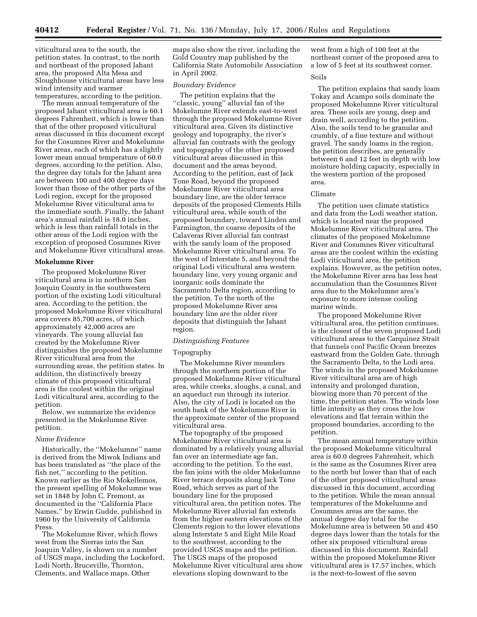viticultural area to the south, the petition states. In contrast, to the north and northeast of the proposed Jahant area, the proposed Alta Mesa and Sloughhouse viticultural areas have less wind intensity and warmer temperatures, according to the petition.

The mean annual temperature of the proposed Jahant viticultural area is 60.1 degrees Fahrenheit, which is lower than that of the other proposed viticultural areas discussed in this document except for the Cosumnes River and Mokelumne River areas, each of which has a slightly lower mean annual temperature of 60.0 degrees, according to the petition. Also, the degree day totals for the Jahant area are between 100 and 400 degree days lower than those of the other parts of the Lodi region, except for the proposed Mokelumne River viticultural area to the immediate south. Finally, the Jahant area's annual rainfall is 18.0 inches, which is less than rainfall totals in the other areas of the Lodi region with the exception of proposed Cosumnes River and Mokelumne River viticultural areas.

# **Mokelumne River**

The proposed Mokelumne River viticultural area is in northern San Joaquin County in the southwestern portion of the existing Lodi viticultural area. According to the petition, the proposed Mokelumne River viticultural area covers 85,700 acres, of which approximately 42,000 acres are vineyards. The young alluvial fan created by the Mokelumne River distinguishes the proposed Mokelumne River viticultural area from the surrounding areas, the petition states. In addition, the distinctively breezy climate of this proposed viticultural area is the coolest within the original Lodi viticultural area, according to the petition.

Below, we summarize the evidence presented in the Mokelumne River petition.

# *Name Evidence*

Historically, the ''Mokelumne'' name is derived from the Miwok Indians and has been translated as ''the place of the fish net,'' according to the petition. Known earlier as the Rio Mokellemos, the present spelling of Mokelumne was set in 1848 by John C. Fremont, as documented in the ''California Place Names,'' by Erwin Gudde, published in 1960 by the University of California Press.

The Mokelumne River, which flows west from the Sierras into the San Joaquin Valley, is shown on a number of USGS maps, including the Lockeford, Lodi North, Bruceville, Thornton, Clements, and Wallace maps. Other

maps also show the river, including the Gold Country map published by the California State Automobile Association in April 2002.

## *Boundary Evidence*

The petition explains that the ''classic, young'' alluvial fan of the Mokelumne River extends east-to-west through the proposed Mokelumne River viticultural area. Given its distinctive geology and topography, the river's alluvial fan contrasts with the geology and topography of the other proposed viticultural areas discussed in this document and the areas beyond. According to the petition, east of Jack Tone Road, beyond the proposed Mokelumne River viticultural area boundary line, are the older terrace deposits of the proposed Clements Hills viticultural area, while south of the proposed boundary, toward Linden and Farmington, the coarse deposits of the Calaveras River alluvial fan contrast with the sandy loam of the proposed Mokelumne River viticultural area. To the west of Interstate 5, and beyond the original Lodi viticultural area western boundary line, very young organic and inorganic soils dominate the Sacramento Delta region, according to the petition. To the north of the proposed Mokelumne River area boundary line are the older river deposits that distinguish the Jahant region.

#### *Distinguishing Features*

#### Topography

The Mokelumne River meanders through the northern portion of the proposed Mokelumne River viticultural area, while creeks, sloughs, a canal, and an aqueduct run through its interior. Also, the city of Lodi is located on the south bank of the Mokelumne River in the approximate center of the proposed viticultural area.

The topography of the proposed Mokelumne River viticultural area is dominated by a relatively young alluvial fan over an intermediate age fan, according to the petition. To the east, the fan joins with the older Mokelumne River terrace deposits along Jack Tone Road, which serves as part of the boundary line for the proposed viticultural area, the petition notes. The Mokelumne River alluvial fan extends from the higher eastern elevations of the Clements region to the lower elevations along Interstate 5 and Eight Mile Road to the southwest, according to the provided USGS maps and the petition. The USGS maps of the proposed Mokelumne River viticultural area show elevations sloping downward to the

west from a high of 100 feet at the northeast corner of the proposed area to a low of 5 feet at its southwest corner.

## Soils

The petition explains that sandy loam Tokay and Acampo soils dominate the proposed Mokelumne River viticultural area. These soils are young, deep and drain well, according to the petition. Also, the soils tend to be granular and crumbly, of a fine texture and without gravel. The sandy loams in the region, the petition describes, are generally between 6 and 12 feet in depth with low moisture holding capacity, especially in the western portion of the proposed area.

## Climate

The petition uses climate statistics and data from the Lodi weather station, which is located near the proposed Mokelumne River viticultural area. The climates of the proposed Mokelumne River and Cosumnes River viticultural areas are the coolest within the existing Lodi viticultural area, the petition explains. However, as the petition notes, the Mokelumne River area has less heat accumulation than the Cosumnes River area due to the Mokelumne area's exposure to more intense cooling marine winds.

The proposed Mokelumne River viticultural area, the petition continues, is the closest of the seven proposed Lodi viticultural areas to the Carquinez Strait that funnels cool Pacific Ocean breezes eastward from the Golden Gate, through the Sacramento Delta, to the Lodi area. The winds in the proposed Mokelumne River viticultural area are of high intensity and prolonged duration, blowing more than 70 percent of the time, the petition states. The winds lose little intensity as they cross the low elevations and flat terrain within the proposed boundaries, according to the petition.

The mean annual temperature within the proposed Mokelumne viticultural area is 60.0 degrees Fahrenheit, which is the same as the Cosumnes River area to the north but lower than that of each of the other proposed viticultural areas discussed in this document, according to the petition. While the mean annual temperatures of the Mokelumne and Cosumnes areas are the same, the annual degree day total for the Mokelumne area is between 50 and 450 degree days lower than the totals for the other six proposed viticultural areas discussed in this document. Rainfall within the proposed Mokelumne River viticultural area is 17.57 inches, which is the next-to-lowest of the seven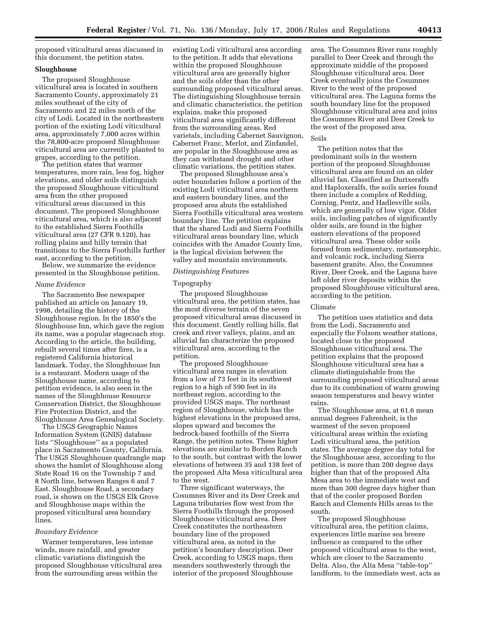proposed viticultural areas discussed in this document, the petition states.

# **Sloughhouse**

The proposed Sloughhouse viticultural area is located in southern Sacramento County, approximately 21 miles southeast of the city of Sacramento and 22 miles north of the city of Lodi. Located in the northeastern portion of the existing Lodi viticultural area, approximately 7,000 acres within the 78,800-acre proposed Sloughhouse viticultural area are currently planted to grapes, according to the petition.

The petition states that warmer temperatures, more rain, less fog, higher elevations, and older soils distinguish the proposed Sloughhouse viticultural area from the other proposed viticultural areas discussed in this document. The proposed Sloughhouse viticultural area, which is also adjacent to the established Sierra Foothills viticultural area (27 CFR 9.120), has rolling plains and hilly terrain that transitions to the Sierra Foothills further east, according to the petition.

Below, we summarize the evidence presented in the Sloughhouse petition.

#### *Name Evidence*

The Sacramento Bee newspaper published an article on January 19, 1998, detailing the history of the Sloughhouse region. In the 1850's the Sloughhouse Inn, which gave the region its name, was a popular stagecoach stop. According to the article, the building, rebuilt several times after fires, is a registered California historical landmark. Today, the Sloughhouse Inn is a restaurant. Modern usage of the Sloughhouse name, according to petition evidence, is also seen in the names of the Sloughhouse Resource Conservation District, the Sloughhouse Fire Protection District, and the Sloughhouse Area Genealogical Society.

The USGS Geographic Names Information System (GNIS) database lists ''Sloughhouse'' as a populated place in Sacramento County, California. The USGS Sloughhouse quadrangle map shows the hamlet of Sloughhouse along State Road 16 on the Township 7 and 8 North line, between Ranges 6 and 7 East. Sloughhouse Road, a secondary road, is shown on the USGS Elk Grove and Sloughhouse maps within the proposed viticultural area boundary lines.

# *Boundary Evidence*

Warmer temperatures, less intense winds, more rainfall, and greater climatic variations distinguish the proposed Sloughhouse viticultural area from the surrounding areas within the

existing Lodi viticultural area according to the petition. It adds that elevations within the proposed Sloughhouse viticultural area are generally higher and the soils older than the other surrounding proposed viticultural areas. The distinguishing Sloughhouse terrain and climatic characteristics, the petition explains, make this proposed viticultural area significantly different from the surrounding areas. Red varietals, including Cabernet Sauvignon, Cabernet Franc, Merlot, and Zinfandel, are popular in the Sloughhouse area as they can withstand drought and other climatic variations, the petition states.

The proposed Sloughhouse area's outer boundaries follow a portion of the existing Lodi viticultural area northern and eastern boundary lines, and the proposed area abuts the established Sierra Foothills viticultural area western boundary line. The petition explains that the shared Lodi and Sierra Foothills viticultural areas boundary line, which coincides with the Amador County line, is the logical division between the valley and mountain environments.

#### *Distinguishing Features*

### Topography

The proposed Sloughhouse viticultural area, the petition states, has the most diverse terrain of the seven proposed viticultural areas discussed in this document. Gently rolling hills, flat creek and river valleys, plains, and an alluvial fan characterize the proposed viticultural area, according to the petition.

The proposed Sloughhouse viticultural area ranges in elevation from a low of 73 feet in its southwest region to a high of 590 feet in its northeast region, according to the provided USGS maps. The northeast region of Sloughhouse, which has the highest elevations in the proposed area, slopes upward and becomes the bedrock-based foothills of the Sierra Range, the petition notes. These higher elevations are similar to Borden Ranch to the south, but contrast with the lower elevations of between 35 and 138 feet of the proposed Alta Mesa viticultural area to the west.

Three significant waterways, the Cosumnes River and its Deer Creek and Laguna tributaries flow west from the Sierra Foothills through the proposed Sloughhouse viticultural area. Deer Creek constitutes the northeastern boundary line of the proposed viticultural area, as noted in the petition's boundary description. Deer Creek, according to USGS maps, then meanders southwesterly through the interior of the proposed Sloughhouse

area. The Cosumnes River runs roughly parallel to Deer Creek and through the approximate middle of the proposed Sloughhouse viticultural area. Deer Creek eventually joins the Cosumnes River to the west of the proposed viticultural area. The Laguna forms the south boundary line for the proposed Sloughhouse viticultural area and joins the Cosumnes River and Deer Creek to the west of the proposed area.

### Soils

The petition notes that the predominant soils in the western portion of the proposed Sloughhouse viticultural area are found on an older alluvial fan. Classified as Durixeralfs and Haploxeralfs, the soils series found there include a complex of Redding, Corning, Pentz, and Hadlesville soils, which are generally of low vigor. Older soils, including patches of significantly older soils, are found in the higher eastern elevations of the proposed viticultural area. These older soils formed from sedimentary, metamorphic, and volcanic rock, including Sierra basement granite. Also, the Cosumnes River, Deer Creek, and the Laguna have left older river deposits within the proposed Sloughhouse viticultural area, according to the petition.

## Climate

The petition uses statistics and data from the Lodi, Sacramento and especially the Folsom weather stations, located close to the proposed Sloughhouse viticultural area. The petition explains that the proposed Sloughhouse viticultural area has a climate distinguishable from the surrounding proposed viticultural areas due to its combination of warm growing season temperatures and heavy winter rains.

The Sloughhouse area, at 61.6 mean annual degrees Fahrenheit, is the warmest of the seven proposed viticultural areas within the existing Lodi viticultural area, the petition states. The average degree day total for the Sloughhouse area, according to the petition, is more than 200 degree days higher than that of the proposed Alta Mesa area to the immediate west and more than 300 degree days higher than that of the cooler proposed Borden Ranch and Clements Hills areas to the south.

The proposed Sloughhouse viticultural area, the petition claims, experiences little marine sea breeze influence as compared to the other proposed viticultural areas to the west, which are closer to the Sacramento Delta. Also, the Alta Mesa ''table-top'' landform, to the immediate west, acts as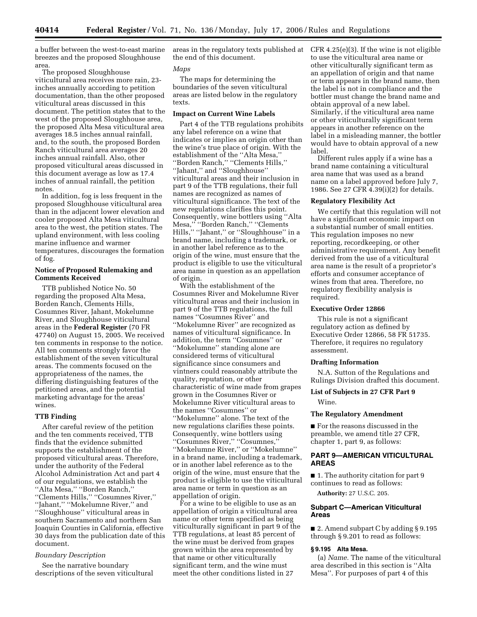a buffer between the west-to-east marine breezes and the proposed Sloughhouse area.

The proposed Sloughhouse viticultural area receives more rain, 23 inches annually according to petition documentation, than the other proposed viticultural areas discussed in this document. The petition states that to the west of the proposed Sloughhouse area, the proposed Alta Mesa viticultural area averages 18.5 inches annual rainfall, and, to the south, the proposed Borden Ranch viticultural area averages 20 inches annual rainfall. Also, other proposed viticultural areas discussed in this document average as low as 17.4 inches of annual rainfall, the petition notes.

In addition, fog is less frequent in the proposed Sloughhouse viticultural area than in the adjacent lower elevation and cooler proposed Alta Mesa viticultural area to the west, the petition states. The upland environment, with less cooling marine influence and warmer temperatures, discourages the formation of fog.

# **Notice of Proposed Rulemaking and Comments Received**

TTB published Notice No. 50 regarding the proposed Alta Mesa, Borden Ranch, Clements Hills, Cosumnes River, Jahant, Mokelumne River, and Sloughhouse viticultural areas in the **Federal Register** (70 FR 47740) on August 15, 2005. We received ten comments in response to the notice. All ten comments strongly favor the establishment of the seven viticultural areas. The comments focused on the appropriateness of the names, the differing distinguishing features of the petitioned areas, and the potential marketing advantage for the areas' wines.

## **TTB Finding**

After careful review of the petition and the ten comments received, TTB finds that the evidence submitted supports the establishment of the proposed viticultural areas. Therefore, under the authority of the Federal Alcohol Administration Act and part 4 of our regulations, we establish the ''Alta Mesa,'' ''Borden Ranch,'' ''Clements Hills,'' ''Cosumnes River,'' ''Jahant,'' ''Mokelumne River,'' and ''Sloughhouse'' viticultural areas in southern Sacramento and northern San Joaquin Counties in California, effective 30 days from the publication date of this document.

## *Boundary Description*

See the narrative boundary descriptions of the seven viticultural areas in the regulatory texts published at CFR 4.25(e)(3). If the wine is not eligible the end of this document.

## *Maps*

The maps for determining the boundaries of the seven viticultural areas are listed below in the regulatory texts.

### **Impact on Current Wine Labels**

Part 4 of the TTB regulations prohibits any label reference on a wine that indicates or implies an origin other than the wine's true place of origin. With the establishment of the ''Alta Mesa,'' ''Borden Ranch,'' ''Clements Hills,'' ''Jahant,'' and ''Sloughhouse'' viticultural areas and their inclusion in part 9 of the TTB regulations, their full names are recognized as names of viticultural significance. The text of the new regulations clarifies this point. Consequently, wine bottlers using ''Alta Mesa,'' ''Borden Ranch,'' ''Clements Hills," "Jahant," or "Sloughhouse" in a brand name, including a trademark, or in another label reference as to the origin of the wine, must ensure that the product is eligible to use the viticultural area name in question as an appellation of origin.

With the establishment of the Cosumnes River and Mokelumne River viticultural areas and their inclusion in part 9 of the TTB regulations, the full names ''Cosumnes River'' and ''Mokelumne River'' are recognized as names of viticultural significance. In addition, the term ''Cosumnes'' or ''Mokelumne'' standing alone are considered terms of viticultural significance since consumers and vintners could reasonably attribute the quality, reputation, or other characteristic of wine made from grapes grown in the Cosumnes River or Mokelumne River viticultural areas to the names ''Cosumnes'' or ''Mokelumne'' alone. The text of the new regulations clarifies these points. Consequently, wine bottlers using ''Cosumnes River,'' ''Cosumnes,'' ''Mokelumne River,'' or ''Mokelumne'' in a brand name, including a trademark, or in another label reference as to the origin of the wine, must ensure that the product is eligible to use the viticultural area name or term in question as an appellation of origin.

For a wine to be eligible to use as an appellation of origin a viticultural area name or other term specified as being viticulturally significant in part 9 of the TTB regulations, at least 85 percent of the wine must be derived from grapes grown within the area represented by that name or other viticulturally significant term, and the wine must meet the other conditions listed in 27

to use the viticultural area name or other viticulturally significant term as an appellation of origin and that name or term appears in the brand name, then the label is not in compliance and the bottler must change the brand name and obtain approval of a new label. Similarly, if the viticultural area name or other viticulturally significant term appears in another reference on the label in a misleading manner, the bottler would have to obtain approval of a new label.

Different rules apply if a wine has a brand name containing a viticultural area name that was used as a brand name on a label approved before July 7, 1986. See 27 CFR 4.39(i)(2) for details.

### **Regulatory Flexibility Act**

We certify that this regulation will not have a significant economic impact on a substantial number of small entities. This regulation imposes no new reporting, recordkeeping, or other administrative requirement. Any benefit derived from the use of a viticultural area name is the result of a proprietor's efforts and consumer acceptance of wines from that area. Therefore, no regulatory flexibility analysis is required.

## **Executive Order 12866**

This rule is not a significant regulatory action as defined by Executive Order 12866, 58 FR 51735. Therefore, it requires no regulatory assessment.

#### **Drafting Information**

N.A. Sutton of the Regulations and Rulings Division drafted this document.

#### **List of Subjects in 27 CFR Part 9**

Wine.

### **The Regulatory Amendment**

■ For the reasons discussed in the preamble, we amend title 27 CFR, chapter 1, part 9, as follows:

# **PART 9—AMERICAN VITICULTURAL AREAS**

■ 1. The authority citation for part 9 continues to read as follows:

**Authority:** 27 U.S.C. 205.

## **Subpart C—American Viticultural Areas**

■ 2. Amend subpart C by adding § 9.195 through § 9.201 to read as follows:

## **§ 9.195 Alta Mesa.**

(a) *Name.* The name of the viticultural area described in this section is ''Alta Mesa''. For purposes of part 4 of this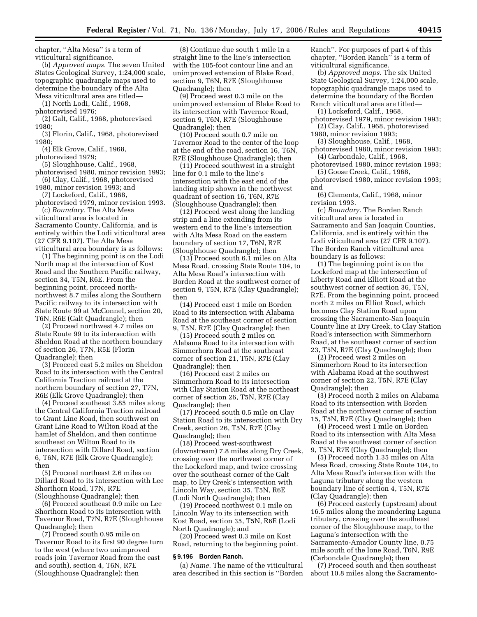chapter, ''Alta Mesa'' is a term of viticultural significance.

(b) *Approved maps.* The seven United States Geological Survey, 1:24,000 scale, topographic quadrangle maps used to determine the boundary of the Alta Mesa viticultural area are titled—

(1) North Lodi, Calif., 1968,

photorevised 1976;

(2) Galt, Calif., 1968, photorevised 1980;

(3) Florin, Calif., 1968, photorevised 1980;

(4) Elk Grove, Calif., 1968,

photorevised 1979;

(5) Sloughhouse, Calif., 1968, photorevised 1980, minor revision 1993;

(6) Clay, Calif., 1968, photorevised

1980, minor revision 1993; and (7) Lockeford, Calif., 1968,

photorevised 1979, minor revision 1993. (c) *Boundary.* The Alta Mesa

viticultural area is located in Sacramento County, California, and is entirely within the Lodi viticultural area (27 CFR 9.107). The Alta Mesa viticultural area boundary is as follows:

(1) The beginning point is on the Lodi North map at the intersection of Kost Road and the Southern Pacific railway, section 34, T5N, R6E. From the beginning point, proceed northnorthwest 8.7 miles along the Southern Pacific railway to its intersection with State Route 99 at McConnel, section 20, T6N, R6E (Galt Quadrangle); then

(2) Proceed northwest 4.7 miles on State Route 99 to its intersection with Sheldon Road at the northern boundary of section 26, T7N, R5E (Florin Quadrangle); then

(3) Proceed east 5.2 miles on Sheldon Road to its intersection with the Central California Traction railroad at the northern boundary of section 27, T7N, R6E (Elk Grove Quadrangle); then

(4) Proceed southeast 3.85 miles along the Central California Traction railroad to Grant Line Road, then southwest on Grant Line Road to Wilton Road at the hamlet of Sheldon, and then continue southeast on Wilton Road to its intersection with Dillard Road, section 6, T6N, R7E (Elk Grove Quadrangle); then

(5) Proceed northeast 2.6 miles on Dillard Road to its intersection with Lee Shorthorn Road, T7N, R7E (Sloughhouse Quadrangle); then

(6) Proceed southeast 0.9 mile on Lee Shorthorn Road to its intersection with Tavernor Road, T7N, R7E (Sloughhouse Quadrangle); then

(7) Proceed south 0.95 mile on Tavernor Road to its first 90 degree turn to the west (where two unimproved roads join Tavernor Road from the east and south), section 4, T6N, R7E (Sloughhouse Quadrangle); then

(8) Continue due south 1 mile in a straight line to the line's intersection with the 105-foot contour line and an unimproved extension of Blake Road, section 9, T6N, R7E (Sloughhouse Quadrangle); then

(9) Proceed west 0.3 mile on the unimproved extension of Blake Road to its intersection with Tavernor Road, section 9, T6N, R7E (Sloughhouse Quadrangle); then

(10) Proceed south 0.7 mile on Tavernor Road to the center of the loop at the end of the road, section 16, T6N, R7E (Sloughhouse Quadrangle); then

(11) Proceed southwest in a straight line for 0.1 mile to the line's intersection with the east end of the landing strip shown in the northwest quadrant of section 16, T6N, R7E (Sloughhouse Quadrangle); then

(12) Proceed west along the landing strip and a line extending from its western end to the line's intersection with Alta Mesa Road on the eastern boundary of section 17, T6N, R7E (Sloughhouse Quadrangle); then

(13) Proceed south 6.1 miles on Alta Mesa Road, crossing State Route 104, to Alta Mesa Road's intersection with Borden Road at the southwest corner of section 9, T5N, R7E (Clay Quadrangle); then

(14) Proceed east 1 mile on Borden Road to its intersection with Alabama Road at the southeast corner of section 9, T5N, R7E (Clay Quadrangle); then

(15) Proceed south 2 miles on Alabama Road to its intersection with Simmerhorn Road at the southeast corner of section 21, T5N, R7E (Clay Quadrangle); then

(16) Proceed east 2 miles on Simmerhorn Road to its intersection with Clay Station Road at the northeast corner of section 26, T5N, R7E (Clay Quadrangle); then

(17) Proceed south 0.5 mile on Clay Station Road to its intersection with Dry Creek, section 26, T5N, R7E (Clay Quadrangle); then

(18) Proceed west-southwest (downstream) 7.8 miles along Dry Creek, crossing over the northwest corner of the Lockeford map, and twice crossing over the southeast corner of the Galt map, to Dry Creek's intersection with Lincoln Way, section 35, T5N, R6E (Lodi North Quadrangle); then

(19) Proceed northwest 0.1 mile on Lincoln Way to its intersection with Kost Road, section 35, T5N, R6E (Lodi North Quadrangle); and

(20) Proceed west 0.3 mile on Kost Road, returning to the beginning point.

### **§ 9.196 Borden Ranch.**

(a) *Name.* The name of the viticultural area described in this section is ''Borden Ranch''. For purposes of part 4 of this chapter, ''Borden Ranch'' is a term of viticultural significance.

(b) *Approved maps.* The six United State Geological Survey, 1:24,000 scale, topographic quadrangle maps used to determine the boundary of the Borden Ranch viticultural area are titled— (1) Lockeford, Calif., 1968,

photorevised 1979, minor revision 1993;

(2) Clay, Calif., 1968, photorevised 1980, minor revision 1993;

(3) Sloughhouse, Calif., 1968,

photorevised 1980, minor revision 1993; (4) Carbondale, Calif., 1968,

photorevised 1980, minor revision 1993; (5) Goose Creek, Calif., 1968,

photorevised 1980, minor revision 1993; and

(6) Clements, Calif., 1968, minor revision 1993.

(c) *Boundary.* The Borden Ranch viticultural area is located in Sacramento and San Joaquin Counties, California, and is entirely within the Lodi viticultural area (27 CFR 9.107). The Borden Ranch viticultural area boundary is as follows:

(1) The beginning point is on the Lockeford map at the intersection of Liberty Road and Elliott Road at the southwest corner of section 36, T5N, R7E. From the beginning point, proceed north 2 miles on Elliot Road, which becomes Clay Station Road upon crossing the Sacramento-San Joaquin County line at Dry Creek, to Clay Station Road's intersection with Simmerhorn Road, at the southeast corner of section 23, T5N, R7E (Clay Quadrangle); then

(2) Proceed west 2 miles on Simmerhorn Road to its intersection with Alabama Road at the southwest corner of section 22, T5N, R7E (Clay Quadrangle); then

(3) Proceed north 2 miles on Alabama Road to its intersection with Borden Road at the northwest corner of section 15, T5N, R7E (Clay Quadrangle); then

(4) Proceed west 1 mile on Borden Road to its intersection with Alta Mesa Road at the southwest corner of section 9, T5N, R7E (Clay Quadrangle); then

(5) Proceed north 1.35 miles on Alta Mesa Road, crossing State Route 104, to Alta Mesa Road's intersection with the Laguna tributary along the western boundary line of section 4, T5N, R7E (Clay Quadrangle); then

(6) Proceed easterly (upstream) about 16.5 miles along the meandering Laguna tributary, crossing over the southeast corner of the Sloughhouse map, to the Laguna's intersection with the Sacramento-Amador County line, 0.75 mile south of the Ione Road, T6N, R9E (Carbondale Quadrangle); then

(7) Proceed south and then southeast about 10.8 miles along the Sacramento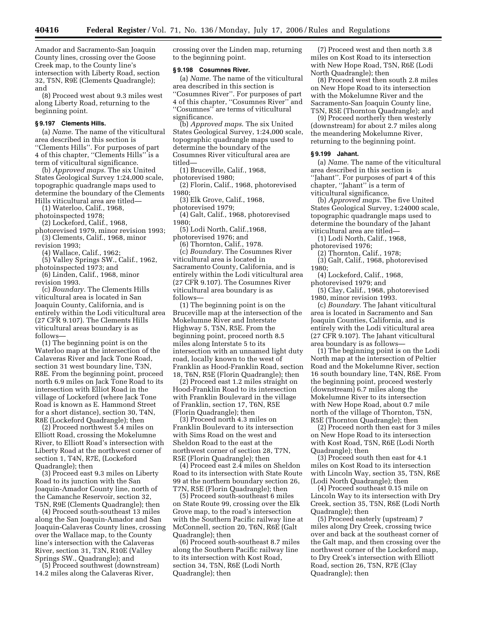**40416 Federal Register** / Vol. 71, No. 136 / Monday, July 17, 2006 / Rules and Regulations

Amador and Sacramento-San Joaquin County lines, crossing over the Goose Creek map, to the County line's intersection with Liberty Road, section 32, T5N, R9E (Clements Quadrangle); and

(8) Proceed west about 9.3 miles west along Liberty Road, returning to the beginning point.

# **§ 9.197 Clements Hills.**

(a) *Name.* The name of the viticultural area described in this section is ''Clements Hills''. For purposes of part 4 of this chapter, ''Clements Hills'' is a term of viticultural significance.

(b) *Approved maps.* The six United States Geological Survey 1:24,000 scale, topographic quadrangle maps used to determine the boundary of the Clements Hills viticultural area are titled—

(1) Waterloo, Calif., 1968, photoinspected 1978;

(2) Lockeford, Calif., 1968, photorevised 1979, minor revision 1993; (3) Clements, Calif., 1968, minor

revision 1993;

(4) Wallace, Calif., 1962;

(5) Valley Springs SW., Calif., 1962, photoinspected 1973; and

(6) Linden, Calif., 1968, minor revision 1993.

(c) *Boundary.* The Clements Hills viticultural area is located in San Joaquin County, California, and is entirely within the Lodi viticultural area (27 CFR 9.107). The Clements Hills viticultural areas boundary is as follows—

(1) The beginning point is on the Waterloo map at the intersection of the Calaveras River and Jack Tone Road, section 31 west boundary line, T3N, R8E. From the beginning point, proceed north 6.9 miles on Jack Tone Road to its intersection with Elliot Road in the village of Lockeford (where Jack Tone Road is known as E. Hammond Street for a short distance), section 30, T4N, R8E (Lockeford Quadrangle); then

(2) Proceed northwest 5.4 miles on Elliott Road, crossing the Mokelumne River, to Elliott Road's intersection with Liberty Road at the northwest corner of section 1, T4N, R7E, (Lockeford Quadrangle); then

(3) Proceed east 9.3 miles on Liberty Road to its junction with the San Joaquin-Amador County line, north of the Camanche Reservoir, section 32, T5N, R9E (Clements Quadrangle); then

(4) Proceed south-southeast 13 miles along the San Joaquin-Amador and San Joaquin-Calaveras County lines, crossing over the Wallace map, to the County line's intersection with the Calaveras River, section 31, T3N, R10E (Valley Springs SW., Quadrangle); and

(5) Proceed southwest (downstream) 14.2 miles along the Calaveras River,

crossing over the Linden map, returning to the beginning point.

#### **§ 9.198 Cosumnes River.**

(a) *Name.* The name of the viticultural area described in this section is ''Cosumnes River''. For purposes of part 4 of this chapter, ''Cosumnes River'' and ''Cosumnes'' are terms of viticultural significance.

(b) *Approved maps*. The six United States Geological Survey, 1:24,000 scale, topographic quadrangle maps used to determine the boundary of the Cosumnes River viticultural area are titled—

(1) Bruceville, Calif., 1968,

photorevised 1980;

(2) Florin, Calif., 1968, photorevised 1980;

(3) Elk Grove, Calif., 1968,

photorevised 1979;

(4) Galt, Calif., 1968, photorevised 1980;

(5) Lodi North, Calif.,1968,

photorevised 1976; and

(6) Thornton, Calif., 1978. (c) *Boundary.* The Cosumnes River viticultural area is located in Sacramento County, California, and is entirely within the Lodi viticultural area (27 CFR 9.107). The Cosumnes River viticultural area boundary is as follows—

(1) The beginning point is on the Bruceville map at the intersection of the Mokelumne River and Interstate Highway 5, T5N, R5E. From the beginning point, proceed north 8.5 miles along Interstate 5 to its intersection with an unnamed light duty road, locally known to the west of Franklin as Hood-Franklin Road, section 18, T6N, R5E (Florin Quadrangle); then

(2) Proceed east 1.2 miles straight on Hood-Franklin Road to its intersection with Franklin Boulevard in the village of Franklin, section 17, T6N, R5E (Florin Quadrangle); then

(3) Proceed north 4.3 miles on Franklin Boulevard to its intersection with Sims Road on the west and Sheldon Road to the east at the northwest corner of section 28, T7N, R5E (Florin Quadrangle); then

(4) Proceed east 2.4 miles on Sheldon Road to its intersection with State Route 99 at the northern boundary section 26, T7N, R5E (Florin Quadrangle); then

(5) Proceed south-southeast 6 miles on State Route 99, crossing over the Elk Grove map, to the road's intersection with the Southern Pacific railway line at McConnell, section 20, T6N, R6E (Galt Quadrangle); then

(6) Proceed south-southeast 8.7 miles along the Southern Pacific railway line to its intersection with Kost Road, section 34, T5N, R6E (Lodi North Quadrangle); then

(7) Proceed west and then north 3.8 miles on Kost Road to its intersection with New Hope Road, T5N, R6E (Lodi North Quadrangle); then

(8) Proceed west then south 2.8 miles on New Hope Road to its intersection with the Mokelumne River and the Sacramento-San Joaquin County line, T5N, R5E (Thornton Quadrangle); and

(9) Proceed northerly then westerly (downstream) for about 2.7 miles along the meandering Mokelumne River, returning to the beginning point.

## **§ 9.199 Jahant.**

(a) *Name.* The name of the viticultural area described in this section is ''Jahant''. For purposes of part 4 of this chapter, ''Jahant'' is a term of viticultural significance.

(b) *Approved maps.* The five United States Geological Survey, 1:24000 scale, topographic quadrangle maps used to determine the boundary of the Jahant viticultural area are titled—

(1) Lodi North, Calif., 1968, photorevised 1976;

(2) Thornton, Calif., 1978;

(3) Galt, Calif., 1968, photorevised 1980;

(4) Lockeford, Calif., 1968, photorevised 1979; and

(5) Clay, Calif., 1968, photorevised 1980, minor revision 1993.

(c) *Boundary.* The Jahant viticultural area is located in Sacramento and San Joaquin Counties, California, and is entirely with the Lodi viticultural area (27 CFR 9.107). The Jahant viticultural area boundary is as follows—

(1) The beginning point is on the Lodi North map at the intersection of Peltier Road and the Mokelumne River, section 16 south boundary line, T4N, R6E. From the beginning point, proceed westerly (downstream) 6.7 miles along the Mokelumne River to its intersection with New Hope Road, about 0.7 mile north of the village of Thornton, T5N, R5E (Thornton Quadrangle); then

(2) Proceed north then east for 3 miles on New Hope Road to its intersection with Kost Road, T5N, R6E (Lodi North Quadrangle); then

(3) Proceed south then east for 4.1 miles on Kost Road to its intersection with Lincoln Way, section 35, T5N, R6E (Lodi North Quadrangle); then

(4) Proceed southeast 0.15 mile on Lincoln Way to its intersection with Dry Creek, section 35, T5N, R6E (Lodi North Quadrangle); then

(5) Proceed easterly (upstream) 7 miles along Dry Creek, crossing twice over and back at the southeast corner of the Galt map, and then crossing over the northwest corner of the Lockeford map, to Dry Creek's intersection with Elliott Road, section 26, T5N, R7E (Clay Quadrangle); then